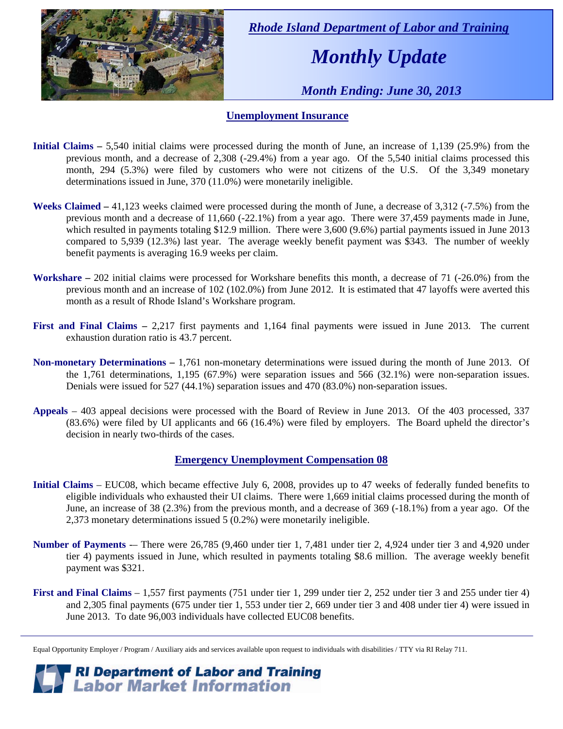

 *Rhode Island Department of Labor and Training* 

# *Monthly Update*

 *Month Ending: June 30, 2013* 

#### **Unemployment Insurance**

- **Initial Claims** 5,540 initial claims were processed during the month of June, an increase of 1,139 (25.9%) from the previous month, and a decrease of 2,308 (-29.4%) from a year ago. Of the 5,540 initial claims processed this month, 294 (5.3%) were filed by customers who were not citizens of the U.S. Of the 3,349 monetary determinations issued in June, 370 (11.0%) were monetarily ineligible.
- **Weeks Claimed** 41,123 weeks claimed were processed during the month of June, a decrease of 3,312 (-7.5%) from the previous month and a decrease of 11,660 (-22.1%) from a year ago. There were 37,459 payments made in June, which resulted in payments totaling \$12.9 million. There were 3,600 (9.6%) partial payments issued in June 2013 compared to 5,939 (12.3%) last year. The average weekly benefit payment was \$343. The number of weekly benefit payments is averaging 16.9 weeks per claim.
- **Workshare –** 202 initial claims were processed for Workshare benefits this month, a decrease of 71 (-26.0%) from the previous month and an increase of 102 (102.0%) from June 2012. It is estimated that 47 layoffs were averted this month as a result of Rhode Island's Workshare program.
- **First and Final Claims –** 2,217 first payments and 1,164 final payments were issued in June 2013. The current exhaustion duration ratio is 43.7 percent.
- **Non-monetary Determinations –** 1,761 non-monetary determinations were issued during the month of June 2013. Of the 1,761 determinations, 1,195 (67.9%) were separation issues and 566 (32.1%) were non-separation issues. Denials were issued for 527 (44.1%) separation issues and 470 (83.0%) non-separation issues.
- **Appeals** 403 appeal decisions were processed with the Board of Review in June 2013. Of the 403 processed, 337 (83.6%) were filed by UI applicants and 66 (16.4%) were filed by employers. The Board upheld the director's decision in nearly two-thirds of the cases.

#### **Emergency Unemployment Compensation 08**

- **Initial Claims**  EUC08, which became effective July 6, 2008, provides up to 47 weeks of federally funded benefits to eligible individuals who exhausted their UI claims. There were 1,669 initial claims processed during the month of June, an increase of 38 (2.3%) from the previous month, and a decrease of 369 (-18.1%) from a year ago. Of the 2,373 monetary determinations issued 5 (0.2%) were monetarily ineligible.
- **Number of Payments** -– There were 26,785 (9,460 under tier 1, 7,481 under tier 2, 4,924 under tier 3 and 4,920 under tier 4) payments issued in June, which resulted in payments totaling \$8.6 million. The average weekly benefit payment was \$321.
- **First and Final Claims**  1,557 first payments (751 under tier 1, 299 under tier 2, 252 under tier 3 and 255 under tier 4) and 2,305 final payments (675 under tier 1, 553 under tier 2, 669 under tier 3 and 408 under tier 4) were issued in June 2013. To date 96,003 individuals have collected EUC08 benefits.

*RI Department of Labor and Training*<br>*Labor Market Information* 

Equal Opportunity Employer / Program / Auxiliary aids and services available upon request to individuals with disabilities / TTY via RI Relay 711.